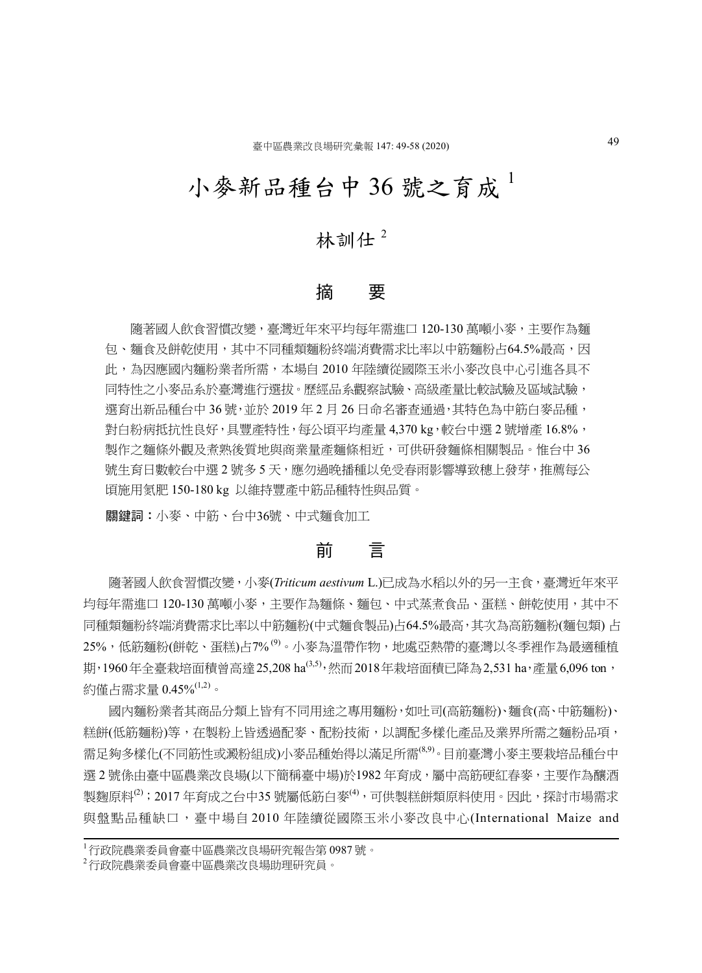# 小麥新品種台中 36號之育成

# 林訓仕 $2$

## 摘 要

 隨著國人飲食習慣改變,臺灣近年來平均每年需進口 120-130 萬噸小麥,主要作為麵 包、麵食及餅乾使用,其中不同種類麵粉終端消費需求比率以中筋麵粉占64.5%最高,因 此,為因應國內麵粉業者所需,本場自 2010 年陸續從國際玉米小麥改良中心引進各具不 同特性之小麥品系於臺灣進行選拔。歷經品系觀察試驗、高級產量比較試驗及區域試驗, 撰育出新品種台中 36號, 並於 2019年2月 26日命名審查通過, 其特色為中筋白麥品種, 對白粉病抵抗性良好,具豐產特性,每公頃平均產量 4,370 kg,較台中選 2 號增產 16.8%, 製作之麵條外觀及煮熟後質地與商業量產麵條相近,可供研發麵條相關製品。惟台中 36 號生育日數較台中選 2 號多 5 天, 應勿過晚播種以免受春雨影響導致穗上發芽, 推薦每公 頃施用氮肥 150-180 kg 以維持豐產中筋品種特性與品質。

關鍵詞:小麥、中筋、台中36號、中式麵食加工

## 前 言

 隨著國人飲食習慣改變,小麥(*Triticum aestivum* L.)已成為水稻以外的另一主食,臺灣近年來平 均每年需進口 120-130 萬噸小麥,主要作為麵條、麵包、中式蒸煮食品、蛋糕、餅乾使用,其中不 同種類麵粉終端消費需求比率以中筋麵粉(中式麵食製品)占64.5%最高,其次為高筋麵粉(麵包類) 占 25%,低筋麵粉(餅乾、蛋糕)占7% (9)。小麥為溫帶作物,地處亞熱帶的臺灣以冬季裡作為最適種植 期,1960年全臺栽培面積曾高達 25.208 ha<sup>(3,5),</sup>然而 2018年栽培面積已降為 2.531 ha,產量 6.096 ton, 約僅占需求量 0.45%(1,2)。

 國內麵粉業者其商品分類上皆有不同用途之專用麵粉,如吐司(高筋麵粉)、麵食(高、中筋麵粉)、 糕餅(低筋麵粉)等,在製粉上皆透過配麥、配粉技術,以調配多樣化產品及業界所需之麵粉品項, 需足夠多樣化(不同筋性或澱粉組成)小麥品種始得以滿足所需<sup>(8,9)</sup>。目前臺灣小麥主要栽培品種台中 選 2 號係由臺中區農業改良場(以下簡稱臺中場)於1982 年育成,屬中高筋硬紅春麥,主要作為釀酒 製麴原料<sup>(2)</sup>;2017 年育成之台中35 號屬低筋白麥<sup>(4),</sup>可供製糕餅類原料使用。因此,探討市場需求 與盤點品種缺口,臺中場自 2010 年陸續從國際玉米小麥改良中心(International Maize and

<sup>1</sup>行政院農業委員會臺中區農業改良場研究報告第 0987 號。

<sup>2</sup>行政院農業委員會臺中區農業改良場助理研究員。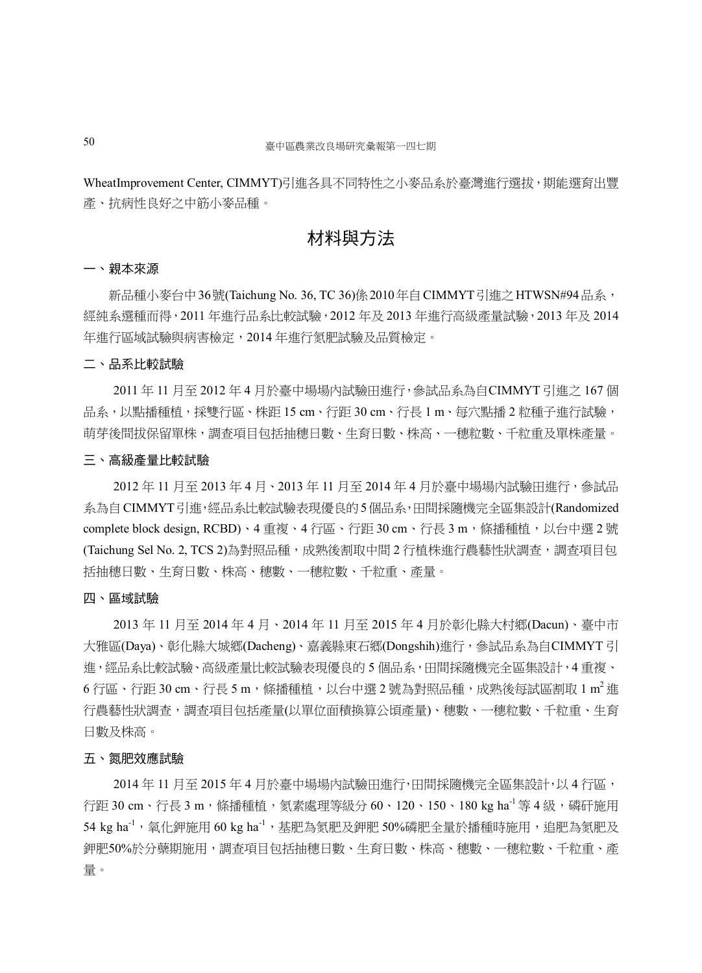WheatImprovement Center, CIMMYT)引進各具不同特性之小麥品系於臺灣進行選拔,期能選育出豐 產、抗病性良好之中筋小麥品種。

# 材料與方法

#### 一、親本來源

新品種小麥台中36號(Taichung No. 36, TC 36)係 2010年自 CIMMYT引進之 HTWSN#94品系, 經純系選種而得,2011 年進行品系比較試驗,2012 年及 2013 年進行高級產量試驗,2013 年及 2014 年進行區域試驗與病害檢定,2014 年進行氮肥試驗及品質檢定。

#### 二、品系比較試驗

2011 年 11 月至 2012 年 4 月於臺中場場內試驗田進行,參試品系為自CIMMYT 引進之 167 個 品系,以點播種植,採雙行區、株距 15 cm、行距 30 cm、行長 1 m、每穴點播 2 粒種子進行試驗, 萌芽後間拔保留單株,調查項目包括抽穗日數、生育日數、株高、一穗粒數、千粒重及單株產量。

#### 三、高級產量比較試驗

2012 年 11 月至 2013 年 4 月、2013 年 11 月至 2014 年 4 月於臺中場場內試驗田進行,參試品 系為自CIMMYT引進,經品系比較試驗表現優良的5個品系,田間採隨機完全區集設計(Randomized complete block design, RCBD)、4 重複、4 行區、行距 30 cm、行長 3 m,條播種植,以台中選 2 號 (Taichung Sel No. 2, TCS 2)為對照品種,成熟後割取中間 2 行植株進行農藝性狀調查,調查項目包 括抽穗日數、生育日數、株高、穗數、一穗粒數、千粒重、產量。

#### 四、區域試驗

2013 年 11 月至 2014 年 4 月、2014 年 11 月至 2015 年 4 月於彰化縣大村鄉(Dacun)、臺中市 大雅區(Daya)、彰化縣大城鄉(Dacheng)、嘉義縣東石鄉(Dongshih)進行,參試品系為自CIMMYT 引 進, 經品系比較試驗、高級產量比較試驗表現優良的 5 個品系, 田間採隨機完全區集設計, 4 重複、  $6$  行區、行距 30 cm、行長 5 m,條播種植,以台中選 2 號為對照品種,成熟後每試區割取 1 m<sup>2</sup> 進 行農藝性狀調查,調查項目包括產量(以單位面積換算公頃產量)、穗數、一穗粒數、千粒重、生育 日數及株高。

#### 五、氮肥效應試驗

2014 年 11 月至 2015 年 4 月於臺中場場內試驗田進行,田間採隨機完全區集設計,以 4 行區, 行距 30 cm、行長 3 m,條播種植,氡素處理等級分 60、120、150、180 kg ha<sup>-1</sup> 等 4 級,磷矸施用 54 kg ha $^{-1}$ ,氧化鉀施用 60 kg ha $^{-1}$ ,基肥為氮肥及鉀肥 50%磷肥全量於播種時施用,追肥為氮肥及 鉀肥50%於分蘗期施用,調查項目包括抽穗日數、生育日數、株高、穗數、一穗粒數、千粒重、產 量。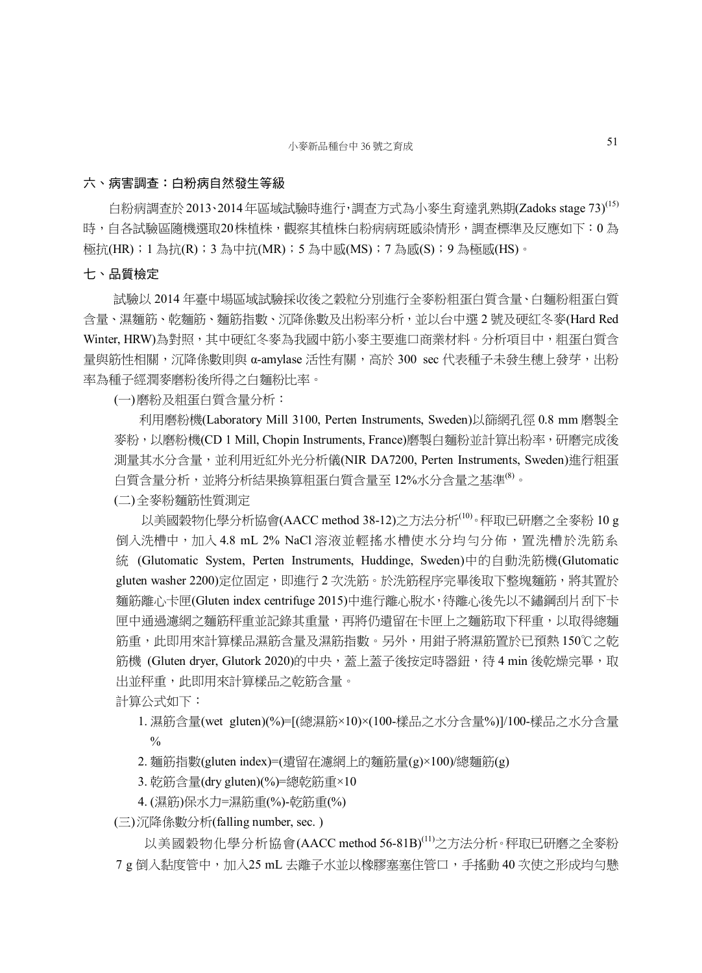#### 六、病害調查:白粉病自然發生等級

白粉病調查於 2013、2014年區域試驗時進行,調查方式為小麥生育達乳熟期(Zadoks stage 73)<sup>(15)</sup> 時,自各試驗區隨機選取20株植株,觀察其植株白粉病病斑感染情形,調查標準及反應如下:0為 極抗(HR);1 為抗(R);3 為中抗(MR);5 為中感(MS);7 為感(S);9 為極感(HS)。

#### 七、品質檢定

試驗以 2014 年臺中場區域試驗採收後之穀粒分別進行全麥粉粗蛋白質含量、白麵粉粗蛋白質 含量、濕麵筋、乾麵筋、麵筋指數、沉降係數及出粉率分析,並以台中選 2 號及硬紅冬麥(Hard Red Winter, HRW)為對照,其中硬紅冬麥為我國中筋小麥主要進口商業材料。分析項目中,粗蛋白質含 量與筋性相關,沉降係數則與 α-amylase 活性有關,高於 300 sec 代表種子未發生穗上發芽,出粉 率為種子經潤麥磨粉後所得之白麵粉比率。

(一)磨粉及粗蛋白質含量分析:

利用磨粉機(Laboratory Mill 3100, Perten Instruments, Sweden)以篩網孔徑 0.8 mm 磨製全 麥粉,以磨粉機(CD 1 Mill, Chopin Instruments, France)磨製白麵粉並計算出粉率,研磨完成後 測量其水分含量,並利用近紅外光分析儀(NIR DA7200, Perten Instruments, Sweden)進行粗蛋 白質含量分析,並將分析結果換算粗蛋白質含量至 12%水分含量之基準(8)。 (二)全麥粉麵筋性質測定

以美國穀物化學分析協會(AACC method 38-12)之方法分析<sup>(10)</sup>。秤取已研磨之全麥粉 10 g 倒入洗槽中,加入 4.8 mL 2% NaCl 溶液並輕搖水槽使水分均勻分佈,置洗槽於洗筋系 統 (Glutomatic System, Perten Instruments, Huddinge, Sweden)中的自動洗筋機(Glutomatic gluten washer 2200)定位固定,即進行 2 次洗筋。於洗筋程序完畢後取下整塊麵筋,將其置於 麵筋離心卡匣(Gluten index centrifuge 2015)中進行離心脫水,待離心後先以不鏽鋼刮片刮下卡 匣中通過濾網之麵筋秤重並記錄其重量,再將仍遺留在卡匣上之麵筋取下秤重,以取得總麵 筋重,此即用來計算樣品濕筋含量及濕筋指數。另外,用鉗子將濕筋置於已預熱 150℃之乾 筋機 (Gluten dryer, Glutork 2020)的中央, 蓋上蓋子後按定時器鈕, 待 4 min 後乾燥完畢, 取 出並秤重,此即用來計算樣品之乾筋含量。

計算公式如下:

- 1. 濕筋含量(wet gluten)(%)=[(總濕筋×10)×(100-樣品之水分含量%)]/100-樣品之水分含量  $\frac{0}{0}$
- 2. 麵筋指數(gluten index)=(遺留在濾網上的麵筋量(g)×100)/總麵筋(g)
- 3. 乾筋含量(dry gluten)(%)=總乾筋重×10
- 4. (濕筋)保水力=濕筋重(%)-乾筋重(%)

(三)沉降係數分析(falling number, sec. )

以美國穀物化學分析協會(AACC method 56-81B)(11)之方法分析。秤取已研磨之全麥粉 7 g 倒入黏度管中,加入25 mL 去離子水並以橡膠塞塞住管口,手搖動 40 次使之形成均勻懸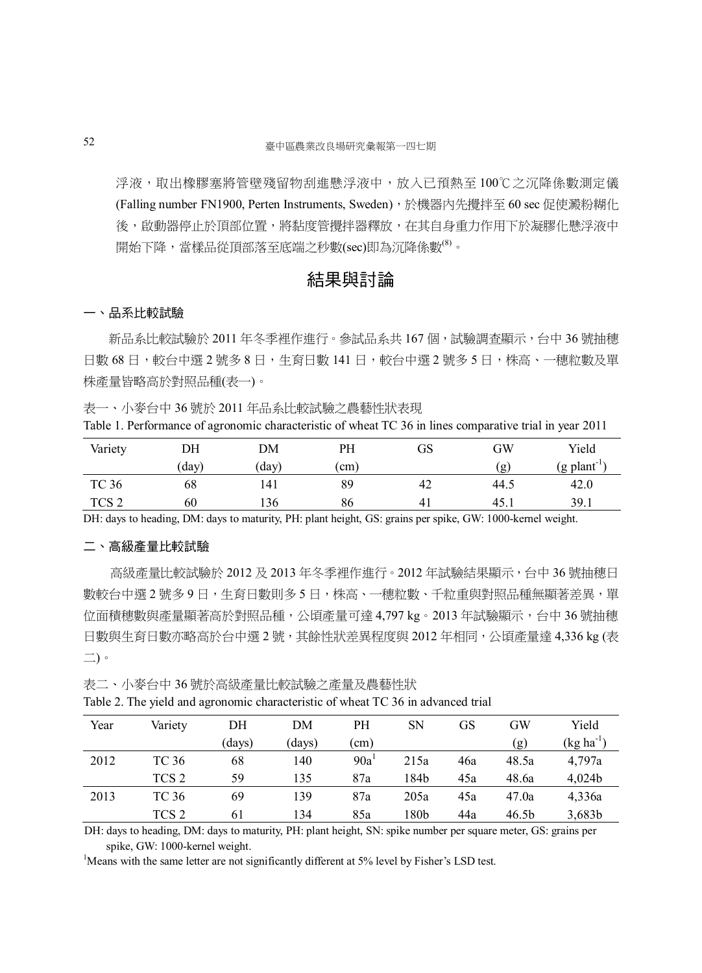浮液,取出橡膠塞將管壁殘留物刮進懸浮液中,放入已預熱至100℃之沉降係數測定儀 (Falling number FN1900, Perten Instruments, Sweden), 於機器內先攪拌至 60 sec 促使澱粉糊化 後,啟動器停止於頂部位置,將黏度管攪拌器釋放,在其自身重力作用下於凝膠化懸浮液中 開始下降,當樣品從頂部落至底端之秒數(sec)即為沉降係數<sup>(8)</sup>。

## 結果與討論

#### 一、品系比較試驗

新品系比較試驗於 2011 年冬季裡作進行。參試品系共 167 個,試驗調查顯示,台中 36 號抽穗 日數 68 日,較台中撰 2 號多 8 日,牛育日數 141 日,較台中撰 2 號多 5 日,株高、一穗粒數及單 株產量皆略高於對照品種(表一)。

表一、小麥台中 36 號於 2011 年品系比較試驗之農藝性狀表現

Table 1. Performance of agronomic characteristic of wheat TC 36 in lines comparative trial in year 2011

| Variety          | DН   | DM    | PH   | GS | GW   | Yield                    |
|------------------|------|-------|------|----|------|--------------------------|
|                  | 'day | (day) | (cm) |    | (g)  | $(g$ plant <sup>-1</sup> |
| TC 36            | 68   | 141   | 89   | 42 | 44.5 | 42.0                     |
| TCS <sub>2</sub> | 60   | 136   | 86   | 41 | 45.i | 39.1                     |

DH: days to heading, DM: days to maturity, PH: plant height, GS: grains per spike, GW: 1000-kernel weight.

#### 二、高級產量比較試驗

高級產量比較試驗於 2012 及 2013 年冬季裡作進行。2012 年試驗結果顯示,台中 36 號抽穗日 數較台中選 2 號多 9 日,生育日數則多 5 日,株高、一穗粒數、千粒重與對照品種無顯著差異,單 位面積穗數與產量顯著高於對照品種,公頃產量可達 4,797 kg。2013 年試驗顯示, 台中 36 號抽穗 日數與生育日數亦略高於台中選 2 號,其餘性狀差異程度與 2012 年相同,公頃產量達 4,336 kg (表 二)。

表二、小麥台中 36 號於高級產量比較試驗之產量及農藝性狀

|  | Table 2. The yield and agronomic characteristic of wheat TC 36 in advanced trial |  |  |  |
|--|----------------------------------------------------------------------------------|--|--|--|
|  |                                                                                  |  |  |  |

| Year | Variety          | DH     | DМ     | PH               | <b>SN</b> | GS  | GW                | Yield                 |
|------|------------------|--------|--------|------------------|-----------|-----|-------------------|-----------------------|
|      |                  | (days) | (days) | $^{\prime}$ cm)  |           |     | (g)               | $(\text{kg ha}^{-1})$ |
| 2012 | TC 36            | 68     | 140    | 90a <sup>1</sup> | 215a      | 46a | 48.5a             | 4,797a                |
|      | TCS <sub>2</sub> | 59     | 135    | 87a              | 184b      | 45a | 48.6a             | 4.024b                |
| 2013 | TC 36            | 69     | 139    | 87a              | 205a      | 45a | 47.0a             | 4,336a                |
|      | TCS <sub>2</sub> | 61     | 134    | 85a              | l 80b     | 44a | 46.5 <sub>b</sub> | 3,683b                |

DH: days to heading, DM: days to maturity, PH: plant height, SN: spike number per square meter, GS: grains per spike, GW: 1000-kernel weight.

<sup>1</sup>Means with the same letter are not significantly different at  $5\%$  level by Fisher's LSD test.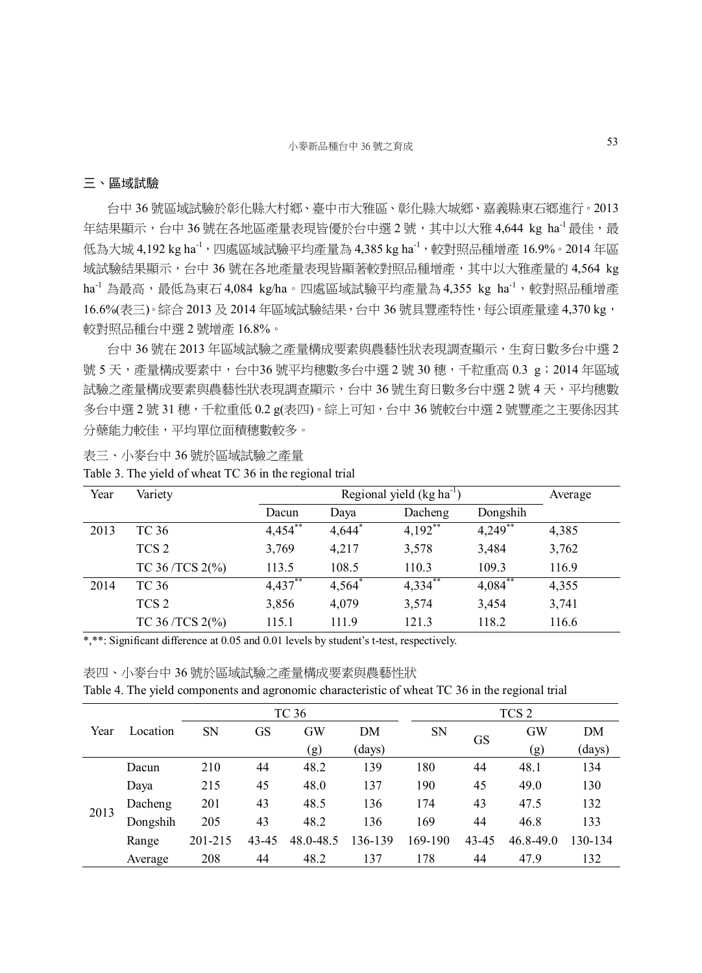#### 三、區域試驗

台中 36 號區域試驗於彰化縣大村鄉、臺中市大雅區、彰化縣大城鄉、嘉義縣東石鄉進行。2013 年結果顯示,台中 36 號在各地區產量表現皆優於台中選 2 號,其中以大雅 4,644 kg ha<sup>-1</sup> 最佳,最 低為大城 4,192 kg ha<sup>-1</sup>,四處區域試驗平均產量為 4,385 kg ha<sup>-1</sup>,較對照品種增產 16.9%。2014年區 域試驗結果顯示,台中 36 號在各地產量表現皆顯著較對照品種增產,其中以大雅產量的 4,564 kg ha<sup>-1</sup>為最高,最低為東石 4,084 kg/ha。四處區域試驗平均產量為 4,355 kg ha<sup>-1</sup>,較對照品種增產 16.6%(表三)。綜合 2013 及 2014 年區域試驗結果, 台中 36 號具豐產特性, 每公頃產量達 4.370 kg, 較對照品種台中選 2 號增產 16.8%。

台中 36 號在 2013 年區域試驗之產量構成要素與農藝性狀表現調查顯示,生育日數多台中選 2 號 5 天,產量構成要素中,台中36 號平均穗數多台中選 2 號 30 穗,千粒重高 0.3 g;2014 年區域 試驗之產量構成要素與農藝性狀表現調查顯示,台中 36 號生育日數多台中撰 2 號 4 天,平均穗數 多台中選 2號 31 穗,千粒重低 0.2 g(表四)。綜上可知,台中 36 號較台中選 2 號豐產之主要係因其 分蘗能力較佳,平均單位面積穗數較多。

表三、小麥台中 36 號於區域試驗之產量

| Year | Variety                  |            | Regional yield $(kg ha^{-1})$ |            |            |       |  |  |  |  |
|------|--------------------------|------------|-------------------------------|------------|------------|-------|--|--|--|--|
|      |                          | Dacun      | Daya                          | Dacheng    | Dongshih   |       |  |  |  |  |
| 2013 | TC 36                    | $4,454$ ** | $4,644$ <sup>*</sup>          | $4,192$ ** | $4,249$ ** | 4,385 |  |  |  |  |
|      | TCS <sub>2</sub>         | 3,769      | 4,217                         | 3,578      | 3,484      | 3,762 |  |  |  |  |
|      | TC 36/TCS $2\frac{6}{9}$ | 113.5      | 108.5                         | 110.3      | 109.3      | 116.9 |  |  |  |  |
| 2014 | TC 36                    | $4,437***$ | $4,564$ <sup>*</sup>          | $4,334$ ** | $4,084$ ** | 4,355 |  |  |  |  |
|      | TCS <sub>2</sub>         | 3,856      | 4,079                         | 3,574      | 3,454      | 3,741 |  |  |  |  |
|      | TC 36/TCS $2\frac{6}{9}$ | 115.1      | 111.9                         | 121.3      | 118.2      | 116.6 |  |  |  |  |

Table 3. The yield of wheat TC 36 in the regional trial

\*,\*\*: Significant difference at 0.05 and 0.01 levels by student's t-test, respectively.

|  | 表四、小麥台中 36 號於區域試驗之產量構成要素與農藝性狀 |  |
|--|-------------------------------|--|
|--|-------------------------------|--|

|  |  | Table 4. The yield components and agronomic characteristic of wheat TC 36 in the regional trial |  |
|--|--|-------------------------------------------------------------------------------------------------|--|
|  |  |                                                                                                 |  |

|      |          |           |       | TC 36                     |         | TCS <sub>2</sub> |           |           |         |
|------|----------|-----------|-------|---------------------------|---------|------------------|-----------|-----------|---------|
| Year | Location | <b>SN</b> | GS    | GW                        | DM      | <b>SN</b>        | <b>GS</b> | <b>GW</b> | DM      |
|      |          |           |       | $\left( \text{g} \right)$ | (days)  |                  |           | (g)       | (days)  |
|      | Dacun    | 210       | 44    | 48.2                      | 139     | 180              | 44        | 48.1      | 134     |
|      | Daya     | 215       | 45    | 48.0                      | 137     | 190              | 45        | 49.0      | 130     |
|      | Dacheng  | 201       | 43    | 48.5                      | 136     | 174              | 43        | 47.5      | 132     |
| 2013 | Dongshih | 205       | 43    | 48.2                      | 136     | 169              | 44        | 46.8      | 133     |
|      | Range    | 201-215   | 43-45 | 48.0-48.5                 | 136-139 | 169-190          | 43-45     | 46.8-49.0 | 130-134 |
|      | Average  | 208       | 44    | 48.2                      | 137     | 178              | 44        | 47.9      | 132     |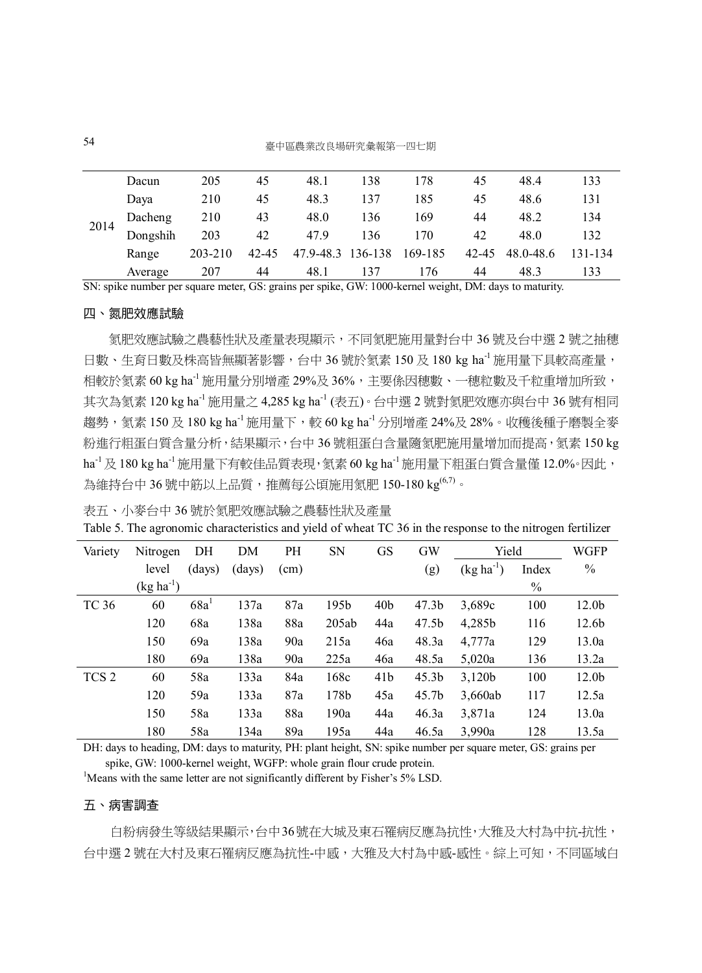54 臺中區農業改良場研究彙報第一四七期

|      | Dacun    | 205     | 45        | 48.1      | 138     | 178     | 45        | 48.4      | 133     |
|------|----------|---------|-----------|-----------|---------|---------|-----------|-----------|---------|
|      | Dava     | 210     | 45        | 48.3      | 137     | 185     | 45        | 48.6      | 131     |
|      | Dacheng  | 210     | 43        | 48.0      | 136     | 169     | 44        | 48.2      | 134     |
| 2014 | Dongshih | 203     | 42        | 47.9      | 136     | 170     | 42        | 48.0      | 132     |
|      | Range    | 203-210 | $42 - 45$ | 47.9-48.3 | 136-138 | 169-185 | $42 - 45$ | 48.0-48.6 | 131-134 |
|      | Average  | 207     | 44        | 48.1      | 137     | 176     | 44        | 48.3      | 133     |

SN: spike number per square meter, GS: grains per spike, GW: 1000-kernel weight, DM: days to maturity.

#### 四、氮肥效應試驗

 氮肥效應試驗之農藝性狀及產量表現顯示,不同氮肥施用量對台中 36 號及台中選 2 號之抽穗 日數、生育日數及株高皆無顯著影響,台中 36 號於氡素 150 及 180 kg ha<sup>-1</sup> 施用量下具較高產量, 相較於氦素 60 kg ha<sup>-1</sup> 施用量分別增產 29%及 36%,主要係因穗數、一穗粒數及千粒重增加所致, 其次為氨素 120 kg ha<sup>-1</sup> 施用量之 4.285 kg ha<sup>-1</sup> (表五)。台中選 2 號對氨肥效應亦與台中 36 號有相同 趨勢, 氮素 150 及 180 kg ha<sup>-1</sup> 施用量下, 較 60 kg ha<sup>-1</sup> 分別增產 24%及 28%。收穫後種子磨製全麥 粉進行粗蛋白質含量分析,結果顯示,台中 36 號粗蛋白含量隨氮肥施用量增加而提高,氮素 150 kg ha<sup>-1</sup>及 180 kg ha<sup>-1</sup> 施用量下有較佳品質表現, 氮素 60 kg ha<sup>-1</sup> 施用量下粗蛋白質含量僅 12.0%。因此, 為維持台中 36 號中筋以上品質,推薦每公頃施用氦肥 150-180 kg $^{(6,7)}$ 。

表五、小麥台中 36 號於氮肥效應試驗之農藝性狀及產量

Table 5. The agronomic characteristics and yield of wheat TC 36 in the response to the nitrogen fertilizer

| Variety          | Nitrogen       | DH     | DM     | <b>PH</b> | <b>SN</b> | <b>GS</b>       | <b>GW</b>         | Yield          |       | WGFP              |
|------------------|----------------|--------|--------|-----------|-----------|-----------------|-------------------|----------------|-------|-------------------|
|                  | level          | (days) | (days) | (cm)      |           |                 | (g)               | $(kg ha^{-1})$ | Index | $\frac{0}{0}$     |
|                  | $(kg ha^{-1})$ |        |        |           |           |                 |                   |                | $\%$  |                   |
| <b>TC 36</b>     | 60             | 68a    | 137a   | 87a       | 195b      | 40 <sub>b</sub> | 47.3 <sub>b</sub> | 3,689c         | 100   | 12.0b             |
|                  | 120            | 68a    | 138a   | 88a       | 205ab     | 44a             | 47.5b             | 4,285b         | 116   | 12.6 <sub>b</sub> |
|                  | 150            | 69a    | 138a   | 90a       | 215a      | 46a             | 48.3a             | 4,777a         | 129   | 13.0a             |
|                  | 180            | 69a    | 138a   | 90a       | 225a      | 46a             | 48.5a             | 5,020a         | 136   | 13.2a             |
| TCS <sub>2</sub> | 60             | 58a    | 133a   | 84a       | 168c      | 41 <sub>b</sub> | 45.3 <sub>b</sub> | 3,120b         | 100   | 12.0b             |
|                  | 120            | 59a    | 133a   | 87a       | 178b      | 45a             | 45.7b             | 3,660ab        | 117   | 12.5a             |
|                  | 150            | 58a    | 133a   | 88a       | 190a      | 44a             | 46.3a             | 3,871a         | 124   | 13.0a             |
|                  | 180            | 58a    | 134a   | 89a       | 195a      | 44a             | 46.5a             | 3,990a         | 128   | 13.5a             |

DH: days to heading, DM: days to maturity, PH: plant height, SN: spike number per square meter, GS: grains per spike, GW: 1000-kernel weight, WGFP: whole grain flour crude protein.

<sup>1</sup>Means with the same letter are not significantly different by Fisher's 5% LSD.

#### 五、病害調查

白粉病發生等級結果顯示,台中36號在大城及東石罹病反應為抗性,大雅及大村為中抗-抗性, 台中選 2 號在大村及東石罹病反應為抗性-中感,大雅及大村為中感-感性。綜上可知,不同區域白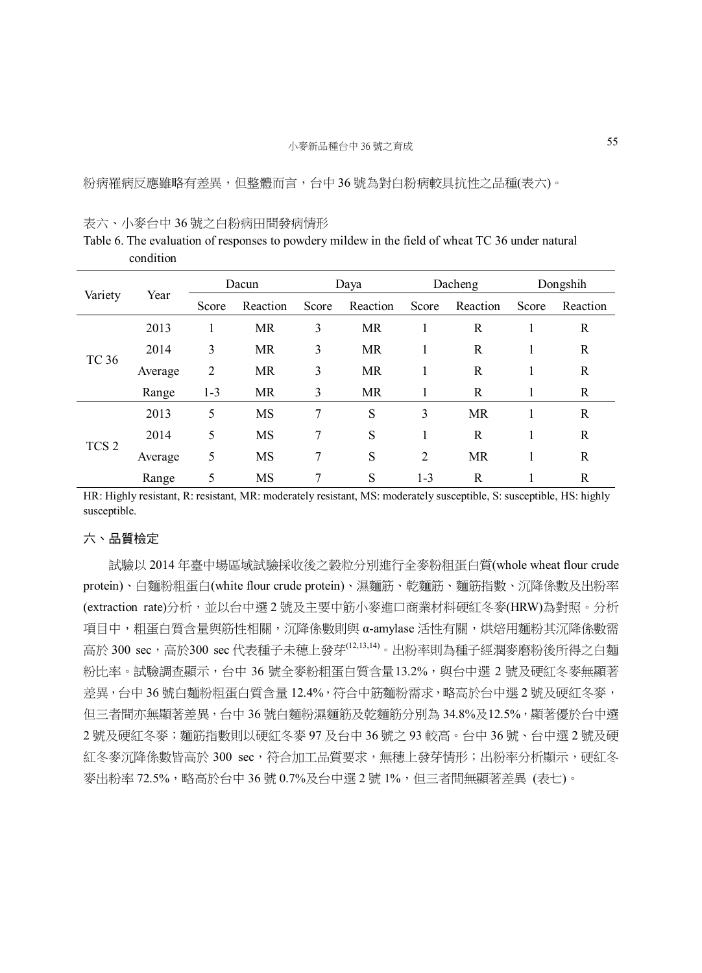粉病罹病反應雖略有差異,但整體而言,台中 36 號為對白粉病較具抗性之品種(表六)。

#### 表六、小麥台中 36 號之白粉病田間發病情形

Table 6. The evaluation of responses to powdery mildew in the field of wheat TC 36 under natural condition

|                  |         | Dacun          |           | Daya  |           | Dacheng        |           | Dongshih |          |
|------------------|---------|----------------|-----------|-------|-----------|----------------|-----------|----------|----------|
| Variety          | Year    | Score          | Reaction  | Score | Reaction  | Score          | Reaction  | Score    | Reaction |
|                  | 2013    |                | <b>MR</b> | 3     | <b>MR</b> |                | R         |          | R        |
| <b>TC 36</b>     | 2014    | 3              | <b>MR</b> | 3     | MR        |                | R         |          | R        |
|                  | Average | $\overline{2}$ | <b>MR</b> | 3     | <b>MR</b> |                | R         |          | R        |
|                  | Range   | $1 - 3$        | MR        | 3     | <b>MR</b> |                | R         |          | R        |
|                  | 2013    | 5              | <b>MS</b> | 7     | S         | 3              | <b>MR</b> |          | R        |
|                  | 2014    | 5              | <b>MS</b> | 7     | S         |                | R         |          | R        |
| TCS <sub>2</sub> | Average | 5              | <b>MS</b> | 7     | S         | $\overline{2}$ | <b>MR</b> |          | R        |
|                  | Range   | 5              | <b>MS</b> | 7     | S         | $1 - 3$        | R         |          | R        |

HR: Highly resistant, R: resistant, MR: moderately resistant, MS: moderately susceptible, S: susceptible, HS: highly susceptible.

#### 六、品質檢定

 試驗以 2014 年臺中場區域試驗採收後之穀粒分別進行全麥粉粗蛋白質(whole wheat flour crude protein)、白麵粉粗蛋白(white flour crude protein)、濕麵筋、乾麵筋、麵筋指數、沉降係數及出粉率 (extraction rate)分析,並以台中選 2 號及主要中筋小麥進口商業材料硬紅冬麥(HRW)為對照。分析 項目中,粗蛋白質含量與筋性相關,沉降係數則與 α-amylase 活性有關,烘焙用麵粉其沉降係數需 高於 300 sec,高於300 sec代表種子未穗上發芽(12,13,14)。出粉率則為種子經潤麥磨粉後所得之白麵 粉比率。試驗調查顯示,台中 36 號全麥粉粗蛋白質含量13.2%,與台中選 2 號及硬紅冬麥無顯著 差異,台中 36 號白麵粉粗蛋白質含量 12.4%, 符合中筋麵粉需求,略高於台中選 2 號及硬紅冬麥, 但三者間亦無顯著差異,台中36號白麵粉濕麵筋及乾麵筋分別為34.8%及12.5%,顯著優於台中選 2 號及硬紅冬麥;麵筋指數則以硬紅冬麥 97 及台中 36 號之 93 較高。台中 36 號、台中選 2 號及硬 紅冬麥沉降係數皆高於 300 sec,符合加工品質要求,無穗上發芽情形;出粉率分析顯示,硬紅冬 麥出粉率 72.5%,略高於台中 36 號 0.7%及台中選 2 號 1%,但三者間無顯著差異 (表七)。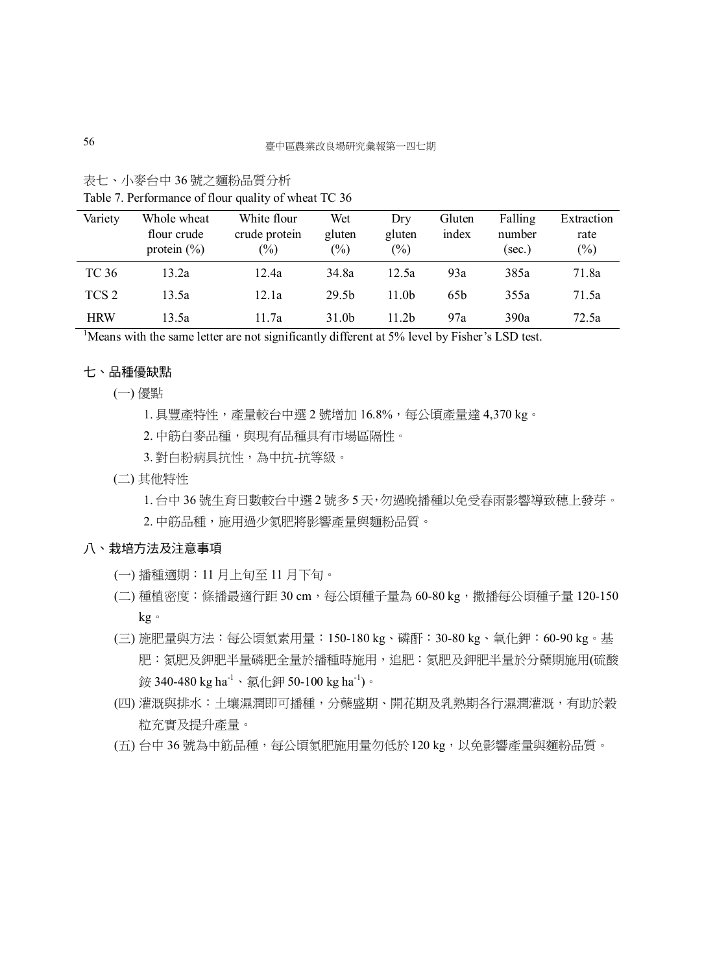|  |  | 表七、小麥台中36號之麵粉品質分析 |  |
|--|--|-------------------|--|
|--|--|-------------------|--|

| Variety          | Whole wheat<br>flour crude<br>protein $(\% )$ | White flour<br>crude protein<br>$\binom{0}{0}$ | Wet<br>gluten<br>$(\%)$ | Dry<br>gluten<br>$(\%)$ | Gluten<br>index | Falling<br>number<br>(sec.) | Extraction<br>rate<br>(%) |
|------------------|-----------------------------------------------|------------------------------------------------|-------------------------|-------------------------|-----------------|-----------------------------|---------------------------|
| TC 36            | 13.2a                                         | 12.4a                                          | 34.8a                   | 12.5a                   | 93a             | 385a                        | 71.8a                     |
| TCS <sub>2</sub> | 13.5a                                         | 12.1a                                          | 29.5 <sub>b</sub>       | 11.0 <sub>b</sub>       | 65 <sub>b</sub> | 355a                        | 71.5a                     |
| <b>HRW</b>       | 13.5a                                         | 11.7a                                          | 31.0 <sub>b</sub>       | 11 2b                   | 97a             | 390a                        | 72.5a                     |

Table 7. Performance of flour quality of wheat TC 36

<sup>1</sup>Means with the same letter are not significantly different at 5% level by Fisher's LSD test.

### 七、品種優缺點

(一) 優點

1. 具豐產特性,產量較台中選 2 號增加 16.8%,每公頃產量達 4,370 kg。

2. 中筋白麥品種,與現有品種具有市場區隔性。

- 3. 對白粉病具抗性,為中抗-抗等級。
- (二) 其他特性

1. 台中 36 號生育日數較台中選 2 號多 5 天,勿過晚播種以免受春雨影響導致穗上發芽。

2. 中筋品種,施用過少氮肥將影響產量與麵粉品質。

#### 八、栽培方法及注意事項

- (一) 播種適期:11 月上旬至 11 月下旬。
- (二) 種植密度:條播最適行距 30 cm,每公頃種子量為 60-80 kg,撒播每公頃種子量 120-150 kg。
- (三) 施肥量與方法:每公頃氮素用量:150-180 kg、磷酐:30-80 kg、氧化鉀:60-90 kg。基 肥:氮肥及鉀肥半量磷肥全量於播種時施用,追肥:氮肥及鉀肥半量於分蘗期施用(硫酸 銨 340-480 kg ha-1、氯化鉀 50-100 kg ha-1)。
- (四) 灌溉與排水:土壤濕潤即可播種,分蘗盛期、開花期及乳熟期各行濕潤灌溉,有助於穀 粒充實及提升產量。
- (五) 台中 36 號為中筋品種,每公頃氮肥施用量勿低於120 kg,以免影響產量與麵粉品質。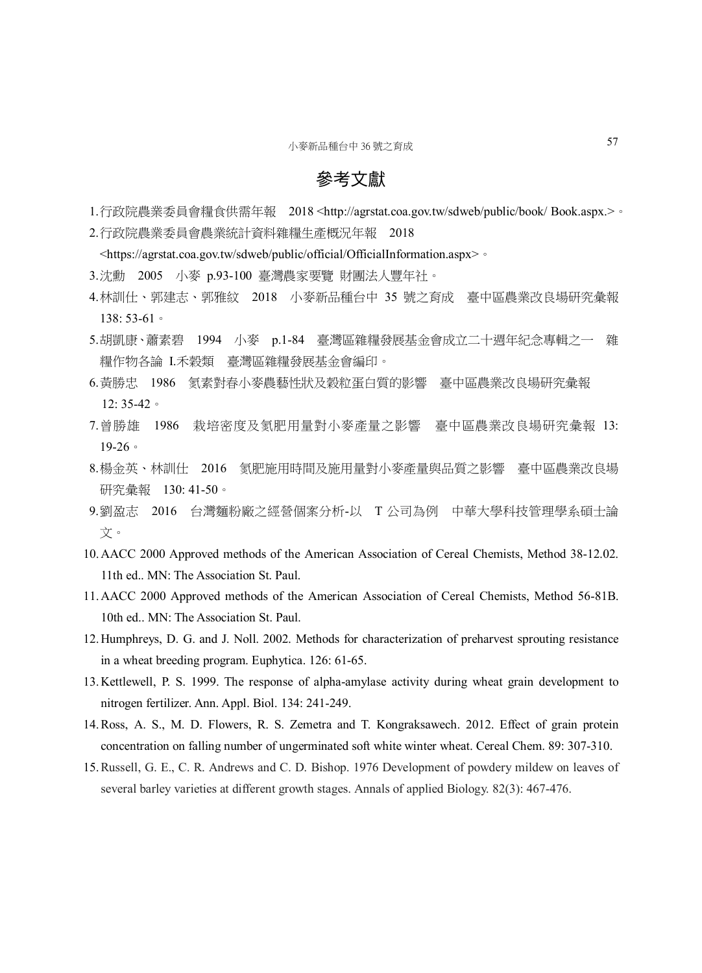## 參考文獻

- 1.行政院農業委員會糧食供需年報 2018 <http://agrstat.coa.gov.tw/sdweb/public/book/ Book.aspx.>。
- 2.行政院農業委員會農業統計資料雜糧生產概況年報 2018

<https://agrstat.coa.gov.tw/sdweb/public/official/OfficialInformation.aspx>。

- 3.沈勳 2005 小麥 p.93-100 臺灣農家要覽 財團法人豐年社。
- 4.林訓仕、郭建志、郭雅紋 2018 小麥新品種台中 35 號之育成 臺中區農業改良場研究彙報 138: 53-61。
- 5.胡凱康、蕭素碧 1994 小麥 p.1-84 臺灣區雜糧發展基金會成立二十週年紀念專輯之一 雜 糧作物各論 I.禾穀類 臺灣區雜糧發展基金會編印。
- 6.黃勝忠 1986 氮素對春小麥農藝性狀及穀粒蛋白質的影響 臺中區農業改良場研究彙報 12: 35-42。
- 7.曾勝雄 1986 栽培密度及氮肥用量對小麥產量之影響 臺中區農業改良場研究彙報 13: 19-26。
- 8.楊金英、林訓仕 2016 氮肥施用時間及施用量對小麥產量與品質之影響 臺中區農業改良場 研究彙報 130: 41-50。
- 9.劉盈志 2016 台灣麵粉廠之經營個案分析-以 T 公司為例 中華大學科技管理學系碩士論 文。
- 10.AACC 2000 Approved methods of the American Association of Cereal Chemists, Method 38-12.02. 11th ed.. MN: The Association St. Paul.
- 11.AACC 2000 Approved methods of the American Association of Cereal Chemists, Method 56-81B. 10th ed.. MN: The Association St. Paul.
- 12.Humphreys, D. G. and J. Noll. 2002. Methods for characterization of preharvest sprouting resistance in a wheat breeding program. Euphytica. 126: 61-65.
- 13.Kettlewell, P. S. 1999. The response of alpha-amylase activity during wheat grain development to nitrogen fertilizer. Ann. Appl. Biol. 134: 241-249.
- 14.Ross, A. S., M. D. Flowers, R. S. Zemetra and T. Kongraksawech. 2012. Effect of grain protein concentration on falling number of ungerminated soft white winter wheat. Cereal Chem. 89: 307-310.
- 15.Russell, G. E., C. R. Andrews and C. D. Bishop. 1976 Development of powdery mildew on leaves of several barley varieties at different growth stages. Annals of applied Biology. 82(3): 467-476.